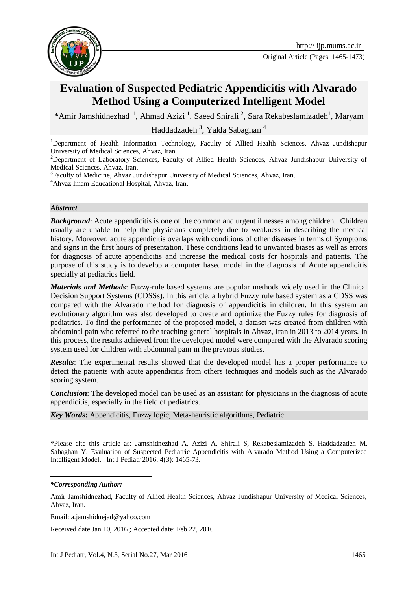

Original Article (Pages: 1465-1473)

# **Evaluation of Suspected Pediatric Appendicitis with Alvarado Method Using a Computerized Intelligent Model**

\*Amir Jamshidnezhad<sup>1</sup>, Ahmad Azizi<sup>1</sup>, Saeed Shirali<sup>2</sup>, Sara Rekabeslamizadeh<sup>1</sup>, Maryam

Haddadzadeh<sup>3</sup>, Yalda Sabaghan<sup>4</sup>

<sup>1</sup>Department of Health Information Technology, Faculty of Allied Health Sciences, Ahvaz Jundishapur University of Medical Sciences, Ahvaz, Iran.

<sup>2</sup>Department of Laboratory Sciences, Faculty of Allied Health Sciences, Ahvaz Jundishapur University of Medical Sciences, Ahvaz, Iran.

<sup>3</sup>Faculty of Medicine, Ahvaz Jundishapur University of Medical Sciences, Ahvaz, Iran.

<sup>4</sup>Ahvaz Imam Educational Hospital, Ahvaz, Iran.

#### *Abstract*

**Background:** Acute appendicitis is one of the common and urgent illnesses among children. Children usually are unable to help the physicians completely due to weakness in describing the medical history. Moreover, acute appendicitis overlaps with conditions of other diseases in terms of Symptoms and signs in the first hours of presentation. These conditions lead to unwanted biases as well as errors for diagnosis of acute appendicitis and increase the medical costs for hospitals and patients. The purpose of this study is to develop a computer based model in the diagnosis of Acute appendicitis specially at pediatrics field.

*Materials and Methods*: Fuzzy-rule based systems are popular methods widely used in the Clinical Decision Support Systems (CDSSs). In this article, a hybrid Fuzzy rule based system as a CDSS was compared with the Alvarado method for diagnosis of appendicitis in children. In this system an evolutionary algorithm was also developed to create and optimize the Fuzzy rules for diagnosis of pediatrics. To find the performance of the proposed model, a dataset was created from children with abdominal pain who referred to the teaching general hospitals in Ahvaz, Iran in 2013 to 2014 years. In this process, the results achieved from the developed model were compared with the Alvarado scoring system used for children with abdominal pain in the previous studies.

*Results*: The experimental results showed that the developed model has a proper performance to detect the patients with acute appendicitis from others techniques and models such as the Alvarado scoring system.

*Conclusion*: The developed model can be used as an assistant for physicians in the diagnosis of acute appendicitis, especially in the field of pediatrics.

*Key Words***:** Appendicitis, Fuzzy logic, Meta-heuristic algorithms, Pediatric.

\*Please cite this article as: Jamshidnezhad A, Azizi A, Shirali S, Rekabeslamizadeh S, Haddadzadeh M, Sabaghan Y. Evaluation of Suspected Pediatric Appendicitis with Alvarado Method Using a Computerized Intelligent Model. . Int J Pediatr 2016; 4(3): 1465-73.

1

Received date Jan 10, 2016 ; Accepted date: Feb 22, 2016

*<sup>\*</sup>Corresponding Author:*

Amir Jamshidnezhad, Faculty of Allied Health Sciences, Ahvaz Jundishapur University of Medical Sciences, Ahvaz, Iran.

Email: a.jamshidnejad@yahoo.com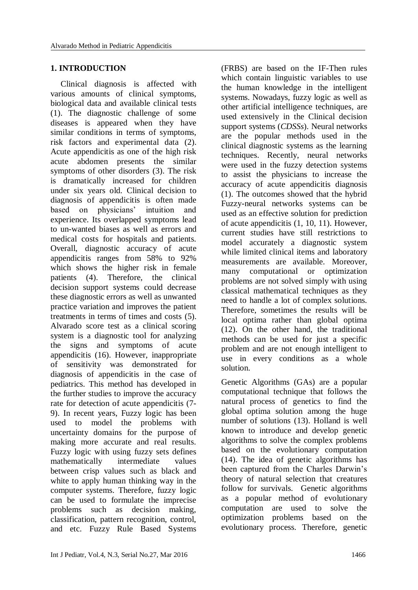#### **1. INTRODUCTION**

Clinical diagnosis is affected with various amounts of clinical symptoms, biological data and available clinical tests (1). The diagnostic challenge of some diseases is appeared when they have similar conditions in terms of symptoms, risk factors and experimental data (2). Acute appendicitis as one of the high risk acute abdomen presents the similar symptoms of other disorders (3). The risk is dramatically increased for children under six years old. Clinical decision to diagnosis of appendicitis is often made based on physicians' intuition and experience. Its overlapped symptoms lead to un-wanted biases as well as errors and medical costs for hospitals and patients. Overall, diagnostic accuracy of acute appendicitis ranges from 58% to 92% which shows the higher risk in female patients (4). Therefore, the clinical decision support systems could decrease these diagnostic errors as well as unwanted practice variation and improves the patient treatments in terms of times and costs (5). Alvarado score test as a clinical scoring system is a diagnostic tool for analyzing the signs and symptoms of acute appendicitis (16). However, inappropriate of sensitivity was demonstrated for diagnosis of appendicitis in the case of pediatrics. This method has developed in the further studies to improve the accuracy rate for detection of acute appendicitis (7- 9). In recent years, Fuzzy logic has been used to model the problems with uncertainty domains for the purpose of making more accurate and real results. Fuzzy logic with using fuzzy sets defines<br>mathematically intermediate values mathematically intermediate values between crisp values such as black and white to apply human thinking way in the computer systems. Therefore, fuzzy logic can be used to formulate the imprecise problems such as decision making, classification, pattern recognition, control, and etc. Fuzzy Rule Based Systems

(FRBS) are based on the IF-Then rules which contain linguistic variables to use the human knowledge in the intelligent systems. Nowadays, fuzzy logic as well as other artificial intelligence techniques, are used extensively in the Clinical decision support systems (*CDSSs*). Neural networks are the popular methods used in the clinical diagnostic systems as the learning techniques. Recently, neural networks were used in the fuzzy detection systems to assist the physicians to increase the accuracy of acute appendicitis diagnosis (1). The outcomes showed that the hybrid Fuzzy-neural networks systems can be used as an effective solution for prediction of acute appendicitis (1, 10, 11). However, current studies have still restrictions to model accurately a diagnostic system while limited clinical items and laboratory measurements are available. Moreover, many computational or optimization problems are not solved simply with using classical mathematical techniques as they need to handle a lot of complex solutions. Therefore, sometimes the results will be local optima rather than global optima (12). On the other hand, the traditional methods can be used for just a specific problem and are not enough intelligent to use in every conditions as a whole solution.

Genetic Algorithms (GAs) are a popular computational technique that follows the natural process of genetics to find the global optima solution among the huge number of solutions (13). Holland is well known to introduce and develop genetic algorithms to solve the complex problems based on the evolutionary computation (14). The idea of genetic algorithms has been captured from the Charles Darwin's theory of natural selection that creatures follow for survivals. Genetic algorithms as a popular method of evolutionary computation are used to solve the optimization problems based on the evolutionary process. Therefore, genetic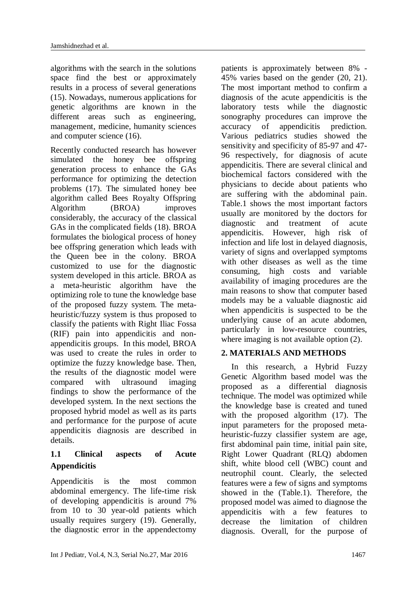algorithms with the search in the solutions space find the best or approximately results in a process of several generations (15). Nowadays, numerous applications for genetic algorithms are known in the different areas such as engineering, management, medicine, humanity sciences and computer science (16).

Recently conducted research has however simulated the honey bee offspring generation process to enhance the GAs performance for optimizing the detection problems (17). The simulated honey bee algorithm called Bees Royalty Offspring Algorithm (BROA) improves considerably, the accuracy of the classical GAs in the complicated fields (18). BROA formulates the biological process of honey bee offspring generation which leads with the Queen bee in the colony. BROA customized to use for the diagnostic system developed in this article. BROA as a meta-heuristic algorithm have the optimizing role to tune the knowledge base of the proposed fuzzy system. The metaheuristic/fuzzy system is thus proposed to classify the patients with Right Iliac Fossa (RIF) pain into appendicitis and nonappendicitis groups. In this model, BROA was used to create the rules in order to optimize the fuzzy knowledge base. Then, the results of the diagnostic model were compared with ultrasound imaging findings to show the performance of the developed system. In the next sections the proposed hybrid model as well as its parts and performance for the purpose of acute appendicitis diagnosis are described in details.

# **1.1 Clinical aspects of Acute Appendicitis**

Appendicitis is the most common abdominal emergency. The life-time risk of developing appendicitis is around 7% from 10 to 30 year-old patients which usually requires surgery (19). Generally, the diagnostic error in the appendectomy patients is approximately between 8% - 45% varies based on the gender (20, 21). The most important method to confirm a diagnosis of the acute appendicitis is the laboratory tests while the diagnostic sonography procedures can improve the accuracy of appendicitis prediction. Various pediatrics studies showed the sensitivity and specificity of 85-97 and 47- 96 respectively, for diagnosis of acute appendicitis. There are several clinical and biochemical factors considered with the physicians to decide about patients who are suffering with the abdominal pain. Table.1 shows the most important factors usually are monitored by the doctors for diagnostic and treatment of acute appendicitis. However, high risk of infection and life lost in delayed diagnosis, variety of signs and overlapped symptoms with other diseases as well as the time consuming, high costs and variable availability of imaging procedures are the main reasons to show that computer based models may be a valuable diagnostic aid when appendicitis is suspected to be the underlying cause of an acute abdomen, particularly in low-resource countries, where imaging is not available option (2).

### **2. MATERIALS AND METHODS**

In this research, a Hybrid Fuzzy Genetic Algorithm based model was the proposed as a differential diagnosis technique. The model was optimized while the knowledge base is created and tuned with the proposed algorithm (17). The input parameters for the proposed metaheuristic-fuzzy classifier system are age, first abdominal pain time, initial pain site, Right Lower Quadrant (RLQ) abdomen shift, white blood cell (WBC) count and neutrophil count. Clearly, the selected features were a few of signs and symptoms showed in the (Table.1). Therefore, the proposed model was aimed to diagnose the appendicitis with a few features to decrease the limitation of children diagnosis. Overall, for the purpose of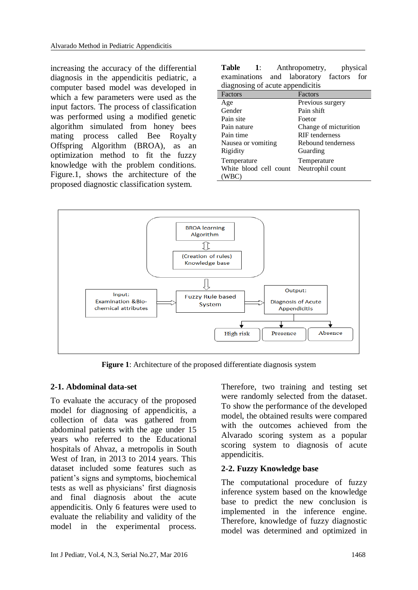increasing the accuracy of the differential diagnosis in the appendicitis pediatric, a computer based model was developed in which a few parameters were used as the input factors. The process of classification was performed using a modified genetic algorithm simulated from honey bees mating process called Bee Royalty Offspring Algorithm (BROA), as an optimization method to fit the fuzzy knowledge with the problem conditions. Figure.1, shows the architecture of the proposed diagnostic classification system.

| <b>Table</b><br>$\mathbf{1}$ :          | physical<br>Anthropometry, |  |  |  |
|-----------------------------------------|----------------------------|--|--|--|
| examinations and laboratory factors for |                            |  |  |  |
| diagnosing of acute appendicitis        |                            |  |  |  |
| Factors                                 | Factors                    |  |  |  |
| Age                                     | Previous surgery           |  |  |  |
| Gender                                  | Pain shift                 |  |  |  |
| Pain site                               | Foetor                     |  |  |  |
| Pain nature                             | Change of micturition      |  |  |  |
| Pain time                               | RIF tenderness             |  |  |  |
| Nausea or vomiting                      | Rebound tenderness         |  |  |  |
| Rigidity                                | Guarding                   |  |  |  |
| Temperature                             | Temperature                |  |  |  |
| White blood cell count                  | Neutrophil count           |  |  |  |
| (WBC)                                   |                            |  |  |  |



**Figure 1**: Architecture of the proposed differentiate diagnosis system

### **2-1. Abdominal data-set**

To evaluate the accuracy of the proposed model for diagnosing of appendicitis, a collection of data was gathered from abdominal patients with the age under 15 years who referred to the Educational hospitals of Ahvaz, a metropolis in South West of Iran, in 2013 to 2014 years. This dataset included some features such as patient's signs and symptoms, biochemical tests as well as physicians' first diagnosis and final diagnosis about the acute appendicitis. Only 6 features were used to evaluate the reliability and validity of the model in the experimental process.

Therefore, two training and testing set were randomly selected from the dataset. To show the performance of the developed model, the obtained results were compared with the outcomes achieved from the Alvarado scoring system as a popular scoring system to diagnosis of acute appendicitis.

### **2-2. Fuzzy Knowledge base**

The computational procedure of fuzzy inference system based on the knowledge base to predict the new conclusion is implemented in the inference engine. Therefore, knowledge of fuzzy diagnostic model was determined and optimized in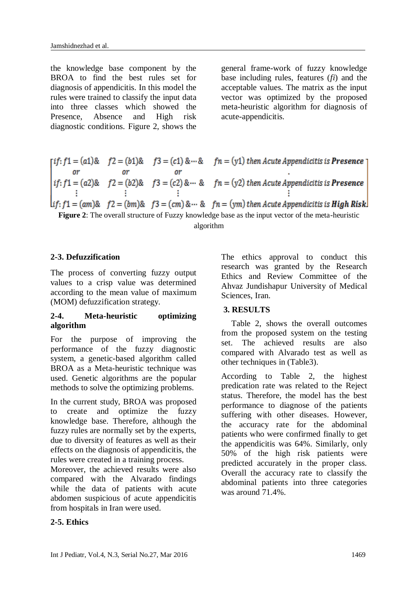the knowledge base component by the BROA to find the best rules set for diagnosis of appendicitis. In this model the rules were trained to classify the input data into three classes which showed the Presence, Absence and High risk diagnostic conditions. Figure 2, shows the general frame-work of fuzzy knowledge base including rules, features (*fi*) and the acceptable values. The matrix as the input vector was optimized by the proposed meta-heuristic algorithm for diagnosis of acute-appendicitis.

# $[if: f1 = (a1) \& f2 = (b1) \& f3 = (c1) \& \cdots \& f n = (y1)$  then Acute Appendicitis is **Presence Figure 2**: The overall structure of Fuzzy knowledge base as the input vector of the meta-heuristic<br> **Figure 2**: The overall structure of Fuzzy knowledge base as the input vector of the meta-heuristic

algorithm

## **2-3. Defuzzification**

The process of converting fuzzy output values to a crisp value was determined according to the mean value of maximum (MOM) defuzzification strategy.

### **2-4. Meta-heuristic optimizing algorithm**

For the purpose of improving the performance of the fuzzy diagnostic system, a genetic-based algorithm called BROA as a Meta-heuristic technique was used. Genetic algorithms are the popular methods to solve the optimizing problems.

In the current study, BROA was proposed to create and optimize the fuzzy knowledge base. Therefore, although the fuzzy rules are normally set by the experts, due to diversity of features as well as their effects on the diagnosis of appendicitis, the rules were created in a training process.

Moreover, the achieved results were also compared with the Alvarado findings while the data of patients with acute abdomen suspicious of acute appendicitis from hospitals in Iran were used.

### **2-5. Ethics**

The ethics approval to conduct this research was granted by the Research Ethics and Review Committee of the Ahvaz Jundishapur University of Medical Sciences, Iran.

### **3. RESULTS**

Table 2, shows the overall outcomes from the proposed system on the testing set. The achieved results are also compared with Alvarado test as well as other techniques in (Table3).

According to Table 2, the highest predication rate was related to the Reject status. Therefore, the model has the best performance to diagnose of the patients suffering with other diseases. However, the accuracy rate for the abdominal patients who were confirmed finally to get the appendicitis was 64%. Similarly, only 50% of the high risk patients were predicted accurately in the proper class. Overall the accuracy rate to classify the abdominal patients into three categories was around 71.4%.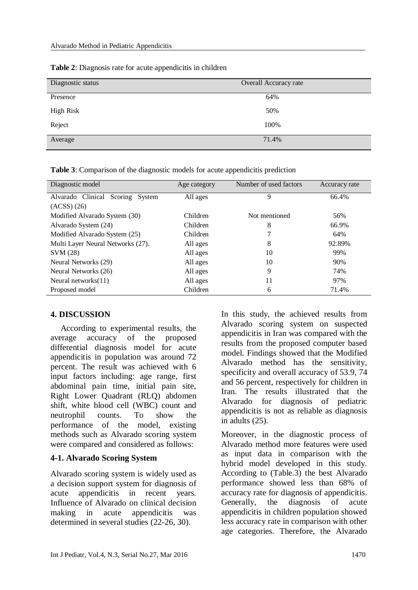| Diagnostic status | Overall Accuracy rate |
|-------------------|-----------------------|
|                   |                       |
| Presence          | 64%                   |
|                   |                       |
| <b>High Risk</b>  | 50%                   |
|                   |                       |
| Reject            | 100%                  |
|                   |                       |
|                   |                       |
| Average           | 71.4%                 |
|                   |                       |

**Table 2**: Diagnosis rate for acute appendicitis in children

**Table 3**: Comparison of the diagnostic models for acute appendicitis prediction

| Diagnostic model                    | Age category | Number of used factors | Accuracy rate |
|-------------------------------------|--------------|------------------------|---------------|
| Alvarado Clinical<br>Scoring System | All ages     | 9                      | 66.4%         |
| $(ACSS)$ $(26)$                     |              |                        |               |
| Modified Alvarado System (30)       | Children     | Not mentioned          | 56%           |
| Alvarado System (24)                | Children     | 8                      | 66.9%         |
| Modified Alvarado System (25)       | Children     |                        | 64%           |
| Multi Layer Neural Networks (27).   | All ages     | 8                      | 92.89%        |
| SVM (28)                            | All ages     | 10                     | 99%           |
| Neural Networks (29)                | All ages     | 10                     | 90%           |
| Neural Networks (26)                | All ages     | 9                      | 74%           |
| Neural networks $(11)$              | All ages     | 11                     | 97%           |
| Proposed model                      | Children     | 6                      | 71.4%         |

### **4. DISCUSSION**

According to experimental results, the average accuracy of the proposed differential diagnosis model for acute appendicitis in population was around 72 percent. The result was achieved with 6 input factors including: age range, first abdominal pain time, initial pain site, Right Lower Quadrant (RLQ) abdomen shift, white blood cell (WBC) count and neutrophil counts. To show the performance of the model, existing methods such as Alvarado scoring system were compared and considered as follows:

### **4-1. Alvarado Scoring System**

Alvarado scoring system is widely used as a decision support system for diagnosis of acute appendicitis in recent years. Influence of Alvarado on clinical decision making in acute appendicitis was determined in several studies (22-26, 30).

In this study, the achieved results from Alvarado scoring system on suspected appendicitis in Iran was compared with the results from the proposed computer based model. Findings showed that the Modified Alvarado method has the sensitivity, specificity and overall accuracy of 53.9, 74 and 56 percent, respectively for children in Iran. The results illustrated that the Alvarado for diagnosis of pediatric appendicitis is not as reliable as diagnosis in adults (25).

Moreover, in the diagnostic process of Alvarado method more features were used as input data in comparison with the hybrid model developed in this study. According to (Table.3) the best Alvarado performance showed less than 68% of accuracy rate for diagnosis of appendicitis. Generally, the diagnosis of acute appendicitis in children population showed less accuracy rate in comparison with other age categories. Therefore, the Alvarado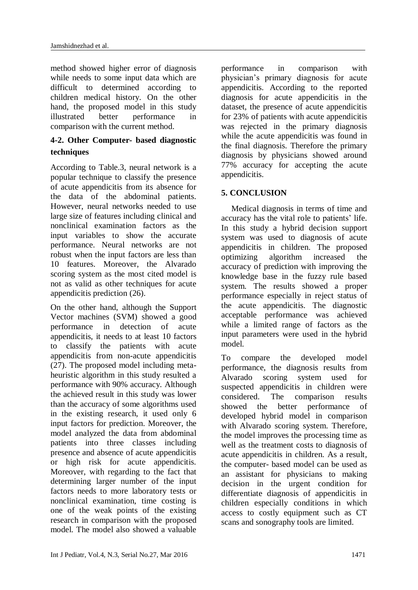method showed higher error of diagnosis while needs to some input data which are difficult to determined according to children medical history. On the other hand, the proposed model in this study illustrated better performance in comparison with the current method.

# **4-2. Other Computer- based diagnostic techniques**

According to Table.3, neural network is a popular technique to classify the presence of acute appendicitis from its absence for the data of the abdominal patients. However, neural networks needed to use large size of features including clinical and nonclinical examination factors as the input variables to show the accurate performance. Neural networks are not robust when the input factors are less than 10 features. Moreover, the Alvarado scoring system as the most cited model is not as valid as other techniques for acute appendicitis prediction (26).

On the other hand, although the Support Vector machines (SVM) showed a good performance in detection of acute appendicitis, it needs to at least 10 factors to classify the patients with acute appendicitis from non-acute appendicitis (27). The proposed model including metaheuristic algorithm in this study resulted a performance with 90% accuracy. Although the achieved result in this study was lower than the accuracy of some algorithms used in the existing research, it used only 6 input factors for prediction. Moreover, the model analyzed the data from abdominal patients into three classes including presence and absence of acute appendicitis or high risk for acute appendicitis. Moreover, with regarding to the fact that determining larger number of the input factors needs to more laboratory tests or nonclinical examination, time costing is one of the weak points of the existing research in comparison with the proposed model. The model also showed a valuable

performance in comparison with physician's primary diagnosis for acute appendicitis. According to the reported diagnosis for acute appendicitis in the dataset, the presence of acute appendicitis for 23% of patients with acute appendicitis was rejected in the primary diagnosis while the acute appendicitis was found in the final diagnosis. Therefore the primary diagnosis by physicians showed around 77% accuracy for accepting the acute appendicitis.

# **5. CONCLUSION**

Medical diagnosis in terms of time and accuracy has the vital role to patients' life. In this study a hybrid decision support system was used to diagnosis of acute appendicitis in children. The proposed optimizing algorithm increased the accuracy of prediction with improving the knowledge base in the fuzzy rule based system. The results showed a proper performance especially in reject status of the acute appendicitis. The diagnostic acceptable performance was achieved while a limited range of factors as the input parameters were used in the hybrid model.

To compare the developed model performance, the diagnosis results from Alvarado scoring system used for suspected appendicitis in children were considered. The comparison results showed the better performance of developed hybrid model in comparison with Alvarado scoring system. Therefore, the model improves the processing time as well as the treatment costs to diagnosis of acute appendicitis in children. As a result, the computer- based model can be used as an assistant for physicians to making decision in the urgent condition for differentiate diagnosis of appendicitis in children especially conditions in which access to costly equipment such as CT scans and sonography tools are limited.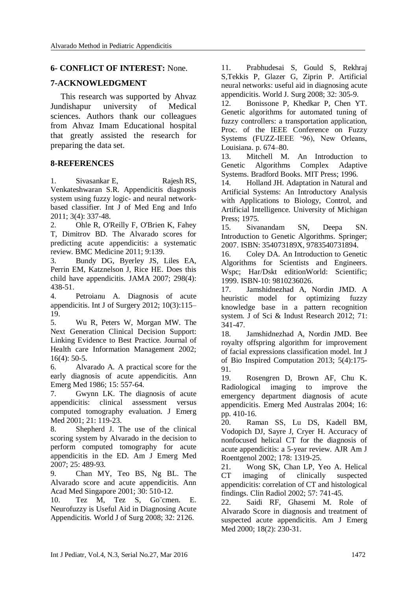#### **6- CONFLICT OF INTEREST:** None.

#### **7-ACKNOWLEDGMENT**

This research was supported by Ahvaz Jundishapur university of Medical sciences. Authors thank our colleagues from Ahvaz Imam Educational hospital that greatly assisted the research for preparing the data set.

#### **8-REFERENCES**

1. Sivasankar E, [Rajesh](http://www.inderscienceonline.com/action/doSearch?ContribStored=Rajesh%2C+R) RS, [Venkateshwaran](http://www.inderscienceonline.com/action/doSearch?ContribStored=Venkateshwaran%2C+S) S.R. Appendicitis diagnosis system using fuzzy logic- and neural networkbased classifier. [Int J of Med Eng](http://www.inderscienceonline.com/loi/ijmei) and Info 2011; 3(4): 337-48.

2. Ohle R, O'Reilly F, O'Brien K, Fahey T, Dimitrov BD. The Alvarado scores for predicting acute appendicitis: a systematic review. BMC Medicine 2011; 9:139.

3. Bundy [DG, Byerley](http://www.uptodate.com/contents/acute-appendicitis-in-children-clinical-manifestations-and-diagnosis/abstract/2) JS, Liles EA, [Perrin EM, Katznelson J, Rice HE.](http://www.uptodate.com/contents/acute-appendicitis-in-children-clinical-manifestations-and-diagnosis/abstract/2) Does this [child have appendicitis.](http://www.uptodate.com/contents/acute-appendicitis-in-children-clinical-manifestations-and-diagnosis/abstract/2) JAMA 2007; 298(4): [438-51.](http://www.uptodate.com/contents/acute-appendicitis-in-children-clinical-manifestations-and-diagnosis/abstract/2)

4. [Petroianu](http://www.sciencedirect.com/science/article/pii/S1743919112000246) A. Diagnosis of acute appendicitis. Int J of [Surgery](http://www.sciencedirect.com/science/journal/17439191) 2012; [10\(3\):1](http://www.sciencedirect.com/science/journal/17439191/10/3)15– 19.

5. Wu R, Peters W, Morgan MW. The Next Generation Clinical Decision Support: Linking Evidence to Best Practice. Journal of Health care Information Management 2002; 16(4): 50-5.

6. Alvarado A. A practical score for the early diagnosis of acute appendicitis. Ann Emerg Med 1986; 15: 557-64.

7. Gwynn LK. The diagnosis of acute appendicitis: clinical assessment versus computed tomography evaluation. J Emerg Med 2001; 21: 119-23.

8. Shepherd J. The use of the clinical scoring system by Alvarado in the decision to perform computed tomography for acute appendicitis in the ED. Am J Emerg Med 2007; 25: 489-93.

9. Chan MY, Teo BS, Ng BL. The Alvarado score and acute appendicitis. Ann Acad Med Singapore 2001; 30: 510-12.

10. Tez M, Tez S, Go¨cmen. E. Neurofuzzy is Useful Aid in Diagnosing Acute Appendicitis. World J of Surg 2008; 32: 2126.

11. Prabhudesai S, Gould S, Rekhraj S,Tekkis P, Glazer G, Ziprin P. Artificial neural networks: useful aid in diagnosing acute appendicitis. World J. Surg 2008; 32: 305-9.

12. Bonissone P, Khedkar P, Chen YT. Genetic algorithms for automated tuning of fuzzy controllers: a transportation application, Proc. of the IEEE Conference on Fuzzy Systems (FUZZ-IEEE '96), New Orleans, Louisiana. p. 674–80.

13. [Mitchell](http://www.google.com.my/search?tbo=p&tbm=bks&q=inauthor:%22Melanie+Mitchell%22&source=gbs_metadata_r&cad=9) M. An Introduction to Genetic Algorithms [Complex Adaptive](http://www.google.com.my/search?tbo=p&tbm=bks&q=bibliogroup:%22Complex+adaptive+systems%22&source=gbs_metadata_r&cad=9)  [Systems.](http://www.google.com.my/search?tbo=p&tbm=bks&q=bibliogroup:%22Complex+adaptive+systems%22&source=gbs_metadata_r&cad=9) [Bradford Books.](http://www.google.com.my/search?tbo=p&tbm=bks&q=bibliogroup:%22Bradford+Books%22&source=gbs_metadata_r&cad=9) MIT Press; 1996.

14. Holland JH. [Adaptation in Natural and](http://scholar.google.com.au/scholar?q=Adaptation+in+natural+and+artificial+systems:+An+introductory+analysis++with+applications+to+biology,+control,+and+artificial+intelligence)  [Artificial Systems: An Introductory Analysis](http://scholar.google.com.au/scholar?q=Adaptation+in+natural+and+artificial+systems:+An+introductory+analysis++with+applications+to+biology,+control,+and+artificial+intelligence)  [with Applications to Biology, Control, and](http://scholar.google.com.au/scholar?q=Adaptation+in+natural+and+artificial+systems:+An+introductory+analysis++with+applications+to+biology,+control,+and+artificial+intelligence)  [Artificial Intelligence.](http://scholar.google.com.au/scholar?q=Adaptation+in+natural+and+artificial+systems:+An+introductory+analysis++with+applications+to+biology,+control,+and+artificial+intelligence) University of Michigan Press; 1975.

15. [Sivanandam](http://www.google.com.my/search?tbo=p&tbm=bks&q=inauthor:%22S.+N.+Sivanandam%22&source=gbs_metadata_r&cad=10) SN, [Deepa](http://www.google.com.my/search?tbo=p&tbm=bks&q=inauthor:%22S.+N.+Deepa%22&source=gbs_metadata_r&cad=10) SN. Introduction to Genetic Algorithms. Springer: 2007. ISBN: 354073189X, 9783540731894.

16. [Coley](http://www.google.com.my/search?tbo=p&tbm=bks&q=inauthor:%22David+A.+Coley%22&source=gbs_metadata_r&cad=9) DA. An Introduction to Genetic Algorithms for Scientists and Engineers. Wspc; Har/Dskt editionWorld: Scientific; 1999. ISBN-10: 9810236026.

17. Jamshidnezhad A, Nordin JMD. A heuristic model for optimizing fuzzy knowledge base in a pattern recognition system. J of Sci & Indust Research 2012; 71: 341-47.

18. Jamshidnezhad A, Nordin JMD. Bee royalty offspring algorithm for improvement of facial expressions classification model. Int J of Bio Inspired Computation 2013; 5(4):175- 91.

19. Rosengren D, Brown AF, Chu K. Radiological imaging to improve the emergency department diagnosis of acute appendicitis. Emerg Med Australas 2004; 16: pp. 410-16.

20. Raman SS, Lu DS, Kadell BM, Vodopich DJ, Sayre J, Cryer H. Accuracy of nonfocused helical CT for the diagnosis of acute appendicitis: a 5-year review. AJR Am J Roentgenol 2002; 178: 1319-25.

21. Wong SK, Chan LP, Yeo A. Helical CT imaging of clinically suspected appendicitis: correlation of CT and histological findings. Clin Radiol 2002; 57: 741-45.

22. Saidi RF, Ghasemi M. Role of Alvarado Score in diagnosis and treatment of suspected acute appendicitis. Am J Emerg Med 2000; 18(2): 230-31.